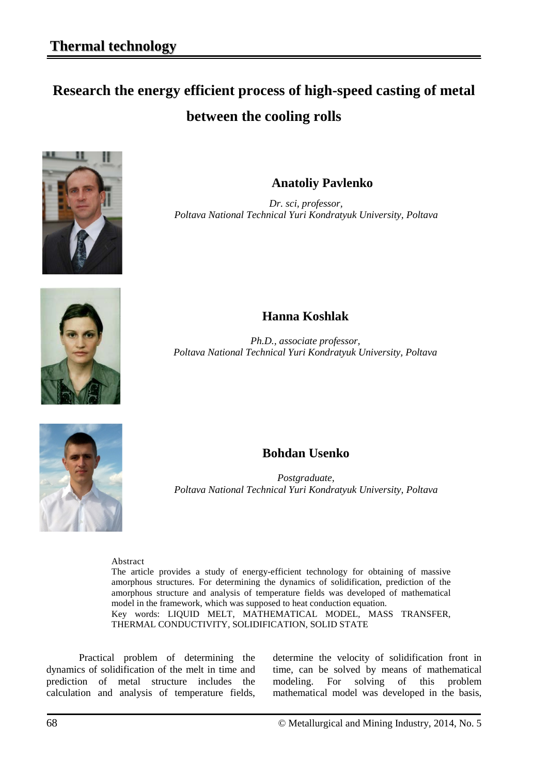# **Research the energy efficient process of high-speed casting of metal between the cooling rolls**



**Anatoliy Pavlenko**

*Dr. sci, professor, Poltava National Technical Yuri Kondratyuk University, Poltava*



## **Hanna Koshlak**

*Ph.D., associate professor, Poltava National Technical Yuri Kondratyuk University, Poltava*



### **Bohdan Usenko**

*Postgraduate, Poltava National Technical Yuri Kondratyuk University, Poltava*

Abstract

The article provides a study of energy-efficient technology for obtaining of massive amorphous structures. For determining the dynamics of solidification, prediction of the amorphous structure and analysis of temperature fields was developed of mathematical model in the framework, which was supposed to heat conduction equation. Key words: LIQUID MELT, MATHEMATICAL MODEL, MASS TRANSFER, THERMAL CONDUCTIVITY, SOLIDIFICATION, SOLID STATE

Practical problem of determining the dynamics of solidification of the melt in time and prediction of metal structure includes the calculation and analysis of temperature fields, determine the velocity of solidification front in time, can be solved by means of mathematical modeling. For solving of this problem mathematical model was developed in the basis,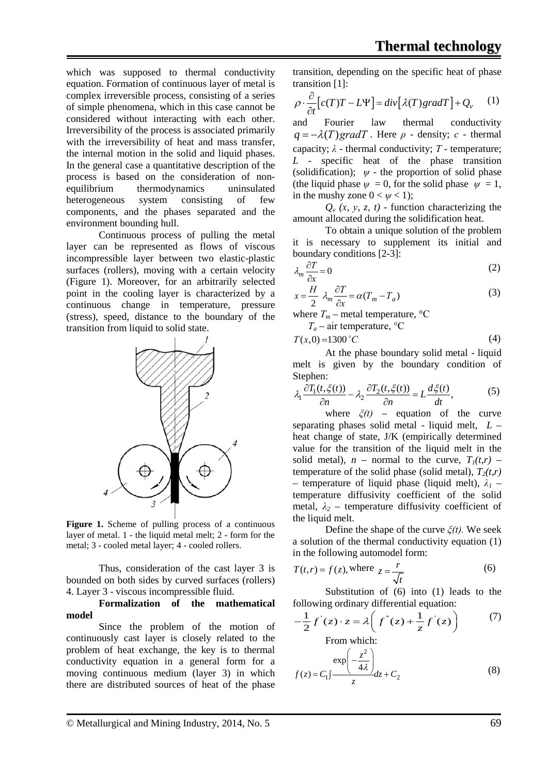which was supposed to thermal conductivity equation. Formation of continuous layer of metal is complex irreversible process, consisting of a series of simple phenomena, which in this case cannot be considered without interacting with each other. Irreversibility of the process is associated primarily with the irreversibility of heat and mass transfer. the internal motion in the solid and liquid phases. In the general case a quantitative description of the process is based on the consideration of nonequilibrium thermodynamics uninsulated heterogeneous system consisting of few components, and the phases separated and the environment bounding hull.

Continuous process of pulling the metal layer can be represented as flows of viscous incompressible layer between two elastic-plastic surfaces (rollers), moving with a certain velocity (Figure 1). Moreover, for an arbitrarily selected point in the cooling layer is characterized by a continuous change in temperature, pressure (stress), speed, distance to the boundary of the transition from liquid to solid state.



Figure 1. Scheme of pulling process of a continuous layer of metal. 1 - the liquid metal melt; 2 - form for the metal; 3 - cooled metal layer; 4 - cooled rollers.

Thus, consideration of the cast layer 3 is bounded on both sides by curved surfaces (rollers) 4. Layer 3 - viscous incompressible fluid.

#### **Formalization of the mathematical model**

Since the problem of the motion of continuously cast layer is closely related to the problem of heat exchange, the key is to thermal conductivity equation in a general form for a moving continuous medium (layer 3) in which there are distributed sources of heat of the phase transition, depending on the specific heat of phase transition [1]:

$$
\rho \cdot \frac{\partial}{\partial t} \left[ c(T)T - L\Psi \right] = \text{div} \left[ \lambda(T) \text{grad} T \right] + Q_{v} \qquad (1)
$$

and Fourier law thermal conductivity  $q = -\lambda(T)$ *gradT*. Here  $\rho$  - density; *c* - thermal capacity;  $\lambda$  - thermal conductivity;  $T$  - temperature; *L* - specific heat of the phase transition (solidification);  $\psi$  - the proportion of solid phase (the liquid phase  $\psi = 0$ , for the solid phase  $\psi = 1$ , in the mushy zone  $0 < \psi < 1$ );

 $Q_v$   $(x, y, z, t)$  - function characterizing the amount allocated during the solidification heat.

To obtain a unique solution of the problem it is necessary to supplement its initial and boundary conditions [2-3]:

$$
\lambda_m \frac{\partial T}{\partial x} = 0 \tag{2}
$$

$$
x = \frac{H}{2} \lambda_m \frac{\partial T}{\partial x} = \alpha (T_m - T_a)
$$
 (3)

where  $T_m$  – metal temperature,  ${}^{\circ}C$ 

 $T_a$  – air temperature,  ${}^{\circ}C$ 

$$
T(x,0) = 1300 \,^{\circ}C \tag{4}
$$

At the phase boundary solid metal - liquid melt is given by the boundary condition of Stephen:

$$
\lambda_1 \frac{\partial T_1(t, \xi(t))}{\partial n} - \lambda_2 \frac{\partial T_2(t, \xi(t))}{\partial n} = L \frac{d\xi(t)}{dt},\tag{5}
$$

where  $\xi(t)$  – equation of the curve separating phases solid metal - liquid melt, *L* – heat change of state, J/K (empirically determined value for the transition of the liquid melt in the solid metal),  $n -$  normal to the curve,  $T_1(t,r)$  – temperature of the solid phase (solid metal),  $T_2(t,r)$ – temperature of liquid phase (liquid melt),  $\lambda_1$  – temperature diffusivity coefficient of the solid metal,  $\lambda_2$  – temperature diffusivity coefficient of the liquid melt.

Define the shape of the curve *ξ(t).* We seek a solution of the thermal conductivity equation (1) in the following automodel form:

$$
T(t,r) = f(z), \text{where } z = \frac{r}{\sqrt{t}}
$$
 (6)

Substitution of (6) into (1) leads to the following ordinary differential equation:

$$
-\frac{1}{2}f'(z) \cdot z = \lambda \left(f''(z) + \frac{1}{z}f'(z)\right) \tag{7}
$$
  
From which:

From which:  
\n
$$
f(z) = C_1 \int \frac{\exp\left(-\frac{z^2}{4\lambda}\right)}{z} dz + C_2
$$
\n(8)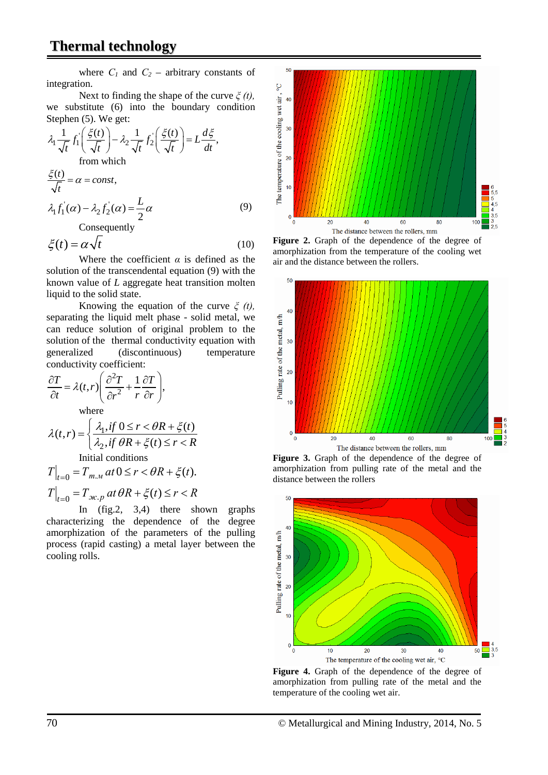where  $C_1$  and  $C_2$  – arbitrary constants of integration.

Next to finding the shape of the curve *ξ (t),* we substitute (6) into the boundary condition Stephen (5). We get:

$$
\lambda_1 \frac{1}{\sqrt{t}} f_1 \left( \frac{\xi(t)}{\sqrt{t}} \right) - \lambda_2 \frac{1}{\sqrt{t}} f_2 \left( \frac{\xi(t)}{\sqrt{t}} \right) = L \frac{d\xi}{dt},
$$
  
from which  

$$
\frac{\xi(t)}{\sqrt{t}} = \alpha = const,
$$
  

$$
\lambda_1 f_1(\alpha) - \lambda_2 f_2(\alpha) = \frac{L}{2} \alpha
$$
 (9)

Consequently

$$
\xi(t) = \alpha \sqrt{t} \tag{10}
$$

Where the coefficient *α* is defined as the solution of the transcendental equation (9) with the known value of *L* aggregate heat transition molten liquid to the solid state.

Knowing the equation of the curve *ξ (t),* separating the liquid melt phase - solid metal, we can reduce solution of original problem to the solution of the thermal conductivity equation with generalized (discontinuous) temperature conductivity coefficient:

$$
\frac{\partial T}{\partial t} = \lambda(t, r) \left( \frac{\partial^2 T}{\partial r^2} + \frac{1}{r} \frac{\partial T}{\partial r} \right),
$$
  
where  

$$
\left( \frac{\partial^2 T}{\partial t^2} + \frac{1}{r} \frac{\partial T}{\partial r} \right) \left( \frac{\partial T}{\partial r^2} + \frac{\partial T}{\partial r^2} \right) = \frac{\partial T}{\partial r^2}
$$

$$
\lambda(t,r) = \begin{cases} \frac{\lambda_1, if \ 0 \le r < \theta R + \xi(t)}{\lambda_2, if \ \theta R + \xi(t) \le r < R} \end{cases}
$$

Initial conditions

$$
T\Big|_{t=0} = T_{m,n} \, at \, 0 \le r < \theta R + \xi(t).
$$
\n
$$
T\Big|_{t=0} = T_{\mathcal{H},p} \, at \, \theta R + \xi(t) \le r < R
$$

In (fig.2, 3,4) there shown graphs characterizing the dependence of the degree amorphization of the parameters of the pulling process (rapid casting) a metal layer between the cooling rolls.



**Figure 2.** Graph of the dependence of the degree of amorphization from the temperature of the cooling wet air and the distance between the rollers.



**Figure 3.** Graph of the dependence of the degree of amorphization from pulling rate of the metal and the distance between the rollers



**Figure 4.** Graph of the dependence of the degree of amorphization from pulling rate of the metal and the temperature of the cooling wet air.